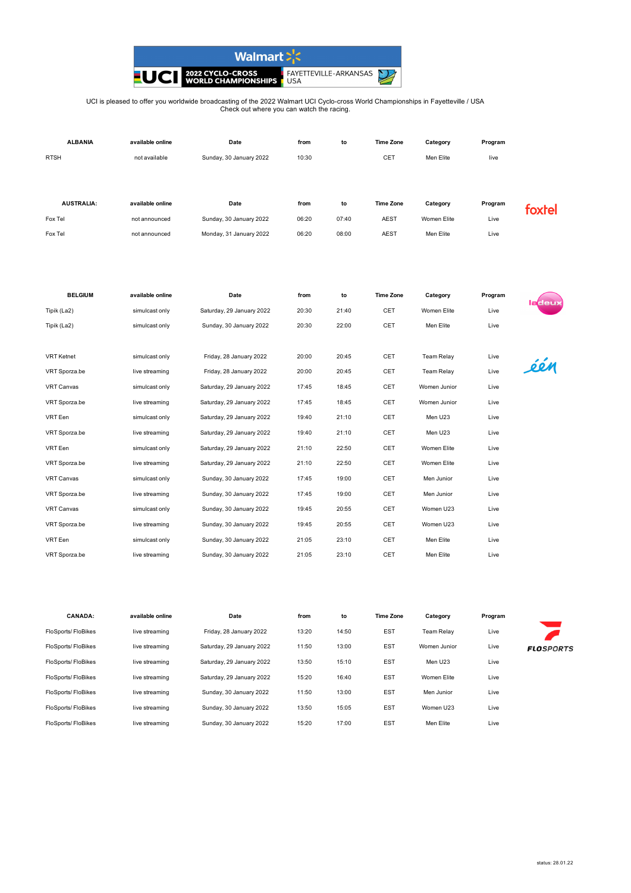

## UCI is pleased to offer you worldwide broadcasting of the 2022 Walmart UCI Cyclo-cross World Championships in Fayetteville / USA Check out where you can watch the racing.

| <b>ALBANIA</b>    | available online | Date                      | from  | to    | <b>Time Zone</b> | Category    | Program |                |
|-------------------|------------------|---------------------------|-------|-------|------------------|-------------|---------|----------------|
| <b>RTSH</b>       | not available    | Sunday, 30 January 2022   | 10:30 |       | CET              | Men Elite   | live    |                |
|                   |                  |                           |       |       |                  |             |         |                |
|                   |                  |                           |       |       |                  |             |         |                |
| <b>AUSTRALIA:</b> | available online | Date                      | from  | to    | <b>Time Zone</b> | Category    | Program | rtel           |
| Fox Tel           | not announced    | Sunday, 30 January 2022   | 06:20 | 07:40 | <b>AEST</b>      | Women Elite | Live    |                |
| Fox Tel           | not announced    | Monday, 31 January 2022   | 06:20 | 08:00 | <b>AEST</b>      | Men Elite   | Live    |                |
|                   |                  |                           |       |       |                  |             |         |                |
|                   |                  |                           |       |       |                  |             |         |                |
|                   |                  |                           |       |       |                  |             |         |                |
| <b>BELGIUM</b>    | available online | Date                      | from  | to    | <b>Time Zone</b> | Category    | Program | <u>la</u> deux |
| Tipik (La2)       | simulcast only   | Saturday, 29 January 2022 | 20:30 | 21:40 | <b>CET</b>       | Women Elite | Live    |                |

| Tipik (La2)       | simulcast only | Sunday, 30 January 2022   | 20:30 | 22:00 | CET | Men Elite         | Live |     |
|-------------------|----------------|---------------------------|-------|-------|-----|-------------------|------|-----|
|                   |                |                           |       |       |     |                   |      |     |
| <b>VRT</b> Ketnet | simulcast only | Friday, 28 January 2022   | 20:00 | 20:45 | CET | <b>Team Relay</b> | Live |     |
| VRT Sporza.be     | live streaming | Friday, 28 January 2022   | 20:00 | 20:45 | CET | <b>Team Relay</b> | Live | één |
| <b>VRT Canvas</b> | simulcast only | Saturday, 29 January 2022 | 17:45 | 18:45 | CET | Women Junior      | Live |     |
| VRT Sporza.be     | live streaming | Saturday, 29 January 2022 | 17:45 | 18:45 | CET | Women Junior      | Live |     |
| VRT Een           | simulcast only | Saturday, 29 January 2022 | 19:40 | 21:10 | CET | Men U23           | Live |     |
| VRT Sporza.be     | live streaming | Saturday, 29 January 2022 | 19:40 | 21:10 | CET | Men U23           | Live |     |
| VRT Een           | simulcast only | Saturday, 29 January 2022 | 21:10 | 22:50 | CET | Women Elite       | Live |     |
| VRT Sporza.be     | live streaming | Saturday, 29 January 2022 | 21:10 | 22:50 | CET | Women Elite       | Live |     |
| VRT Canvas        | simulcast only | Sunday, 30 January 2022   | 17:45 | 19:00 | CET | Men Junior        | Live |     |
| VRT Sporza.be     | live streaming | Sunday, 30 January 2022   | 17:45 | 19:00 | CET | Men Junior        | Live |     |
| <b>VRT Canvas</b> | simulcast only | Sunday, 30 January 2022   | 19:45 | 20:55 | CET | Women U23         | Live |     |
| VRT Sporza.be     | live streaming | Sunday, 30 January 2022   | 19:45 | 20:55 | CET | Women U23         | Live |     |
| VRT Een           | simulcast only | Sunday, 30 January 2022   | 21:05 | 23:10 | CET | Men Elite         | Live |     |
| VRT Sporza.be     | live streaming | Sunday, 30 January 2022   | 21:05 | 23:10 | CET | Men Elite         | Live |     |

| <b>CANADA:</b>     | available online | Date                      | from  | to    | <b>Time Zone</b> | Category     | Program |                  |
|--------------------|------------------|---------------------------|-------|-------|------------------|--------------|---------|------------------|
| FloSports/FloBikes | live streaming   | Friday, 28 January 2022   | 13:20 | 14:50 | <b>EST</b>       | Team Relav   | Live    |                  |
| FloSports/FloBikes | live streaming   | Saturday, 29 January 2022 | 11:50 | 13:00 | <b>EST</b>       | Women Junior | Live    | <b>FLOSPORTS</b> |
| FloSports/FloBikes | live streaming   | Saturday, 29 January 2022 | 13:50 | 15:10 | <b>EST</b>       | Men U23      | Live    |                  |
| FloSports/FloBikes | live streaming   | Saturday, 29 January 2022 | 15:20 | 16:40 | <b>EST</b>       | Women Elite  | Live    |                  |
| FloSports/FloBikes | live streaming   | Sunday, 30 January 2022   | 11:50 | 13:00 | <b>EST</b>       | Men Junior   | Live    |                  |
| FloSports/FloBikes | live streaming   | Sunday, 30 January 2022   | 13:50 | 15:05 | <b>EST</b>       | Women U23    | Live    |                  |
| FloSports/FloBikes | live streaming   | Sunday, 30 January 2022   | 15:20 | 17:00 | <b>EST</b>       | Men Elite    | Live    |                  |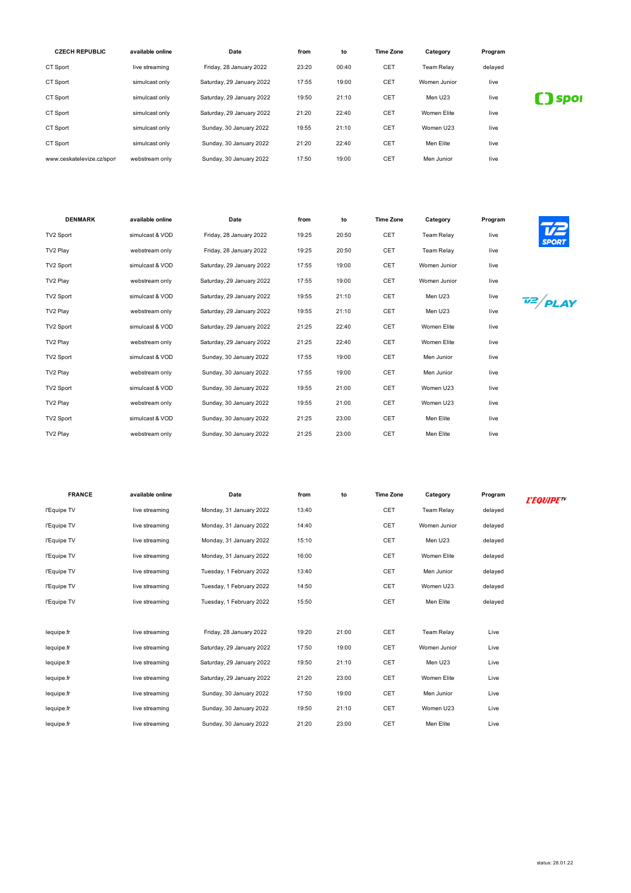| <b>CZECH REPUBLIC</b>      | available online | Date                      | from  | to    | <b>Time Zone</b> | Category          | Program |             |
|----------------------------|------------------|---------------------------|-------|-------|------------------|-------------------|---------|-------------|
| CT Sport                   | live streaming   | Friday, 28 January 2022   | 23:20 | 00:40 | CET              | <b>Team Relav</b> | delayed |             |
| CT Sport                   | simulcast only   | Saturday, 29 January 2022 | 17:55 | 19:00 | CET              | Women Junior      | live    |             |
| CT Sport                   | simulcast only   | Saturday, 29 January 2022 | 19:50 | 21:10 | <b>CET</b>       | Men U23           | live    | <b>Spor</b> |
| CT Sport                   | simulcast only   | Saturday, 29 January 2022 | 21:20 | 22:40 | CET              | Women Elite       | live    |             |
| CT Sport                   | simulcast only   | Sunday, 30 January 2022   | 19:55 | 21:10 | <b>CET</b>       | Women U23         | live    |             |
| CT Sport                   | simulcast only   | Sunday, 30 January 2022   | 21:20 | 22:40 | CET              | Men Elite         | live    |             |
| www.ceskatelevize.cz/sport | webstream only   | Sunday, 30 January 2022   | 17:50 | 19:00 | CET              | Men Junior        | live    |             |

| <b>DENMARK</b> | available online | Date                      | from  | to    | <b>Time Zone</b> | Category          | Program | $\mathcal{I}$       |
|----------------|------------------|---------------------------|-------|-------|------------------|-------------------|---------|---------------------|
| TV2 Sport      | simulcast & VOD  | Friday, 28 January 2022   | 19:25 | 20:50 | CET              | <b>Team Relay</b> | live    | VZ<br><b>SPORT</b>  |
| TV2 Play       | webstream only   | Friday, 28 January 2022   | 19:25 | 20:50 | CET              | <b>Team Relay</b> | live    |                     |
| TV2 Sport      | simulcast & VOD  | Saturday, 29 January 2022 | 17:55 | 19:00 | CET              | Women Junior      | live    |                     |
| TV2 Play       | webstream only   | Saturday, 29 January 2022 | 17:55 | 19:00 | CET              | Women Junior      | live    |                     |
| TV2 Sport      | simulcast & VOD  | Saturday, 29 January 2022 | 19:55 | 21:10 | CET              | Men U23           | live    | $\frac{72}{P}$ PLAY |
| TV2 Play       | webstream only   | Saturday, 29 January 2022 | 19:55 | 21:10 | CET              | Men U23           | live    |                     |
| TV2 Sport      | simulcast & VOD  | Saturday, 29 January 2022 | 21:25 | 22:40 | CET              | Women Elite       | live    |                     |
| TV2 Play       | webstream only   | Saturday, 29 January 2022 | 21:25 | 22:40 | CET              | Women Elite       | live    |                     |
| TV2 Sport      | simulcast & VOD  | Sunday, 30 January 2022   | 17:55 | 19:00 | CET              | Men Junior        | live    |                     |
| TV2 Play       | webstream only   | Sunday, 30 January 2022   | 17:55 | 19:00 | CET              | Men Junior        | live    |                     |
| TV2 Sport      | simulcast & VOD  | Sunday, 30 January 2022   | 19:55 | 21:00 | CET              | Women U23         | live    |                     |
| TV2 Play       | webstream only   | Sunday, 30 January 2022   | 19:55 | 21:00 | CET              | Women U23         | live    |                     |
| TV2 Sport      | simulcast & VOD  | Sunday, 30 January 2022   | 21:25 | 23:00 | CET              | Men Elite         | live    |                     |
| TV2 Play       | webstream only   | Sunday, 30 January 2022   | 21:25 | 23:00 | CET              | Men Elite         | live    |                     |

| <b>FRANCE</b> | available online | Date                      | from  | to    | <b>Time Zone</b> | Category          | Program | <b>L'EQUIPETY</b> |
|---------------|------------------|---------------------------|-------|-------|------------------|-------------------|---------|-------------------|
| l'Equipe TV   | live streaming   | Monday, 31 January 2022   | 13:40 |       | CET              | <b>Team Relay</b> | delayed |                   |
| l'Equipe TV   | live streaming   | Monday, 31 January 2022   | 14:40 |       | <b>CET</b>       | Women Junior      | delayed |                   |
| l'Equipe TV   | live streaming   | Monday, 31 January 2022   | 15:10 |       | CET              | Men U23           | delayed |                   |
| l'Equipe TV   | live streaming   | Monday, 31 January 2022   | 16:00 |       | CET              | Women Elite       | delayed |                   |
| l'Equipe TV   | live streaming   | Tuesday, 1 February 2022  | 13:40 |       | <b>CET</b>       | Men Junior        | delayed |                   |
| l'Equipe TV   | live streaming   | Tuesday, 1 February 2022  | 14:50 |       | CET              | Women U23         | delayed |                   |
| l'Equipe TV   | live streaming   | Tuesday, 1 February 2022  | 15:50 |       | CET              | Men Elite         | delayed |                   |
|               |                  |                           |       |       |                  |                   |         |                   |
| lequipe.fr    | live streaming   | Friday, 28 January 2022   | 19:20 | 21:00 | CET              | <b>Team Relay</b> | Live    |                   |
| lequipe.fr    | live streaming   | Saturday, 29 January 2022 | 17:50 | 19:00 | <b>CET</b>       | Women Junior      | Live    |                   |
| lequipe.fr    | live streaming   | Saturday, 29 January 2022 | 19:50 | 21:10 | CET              | Men U23           | Live    |                   |
| lequipe.fr    | live streaming   | Saturday, 29 January 2022 | 21:20 | 23:00 | CET              | Women Elite       | Live    |                   |
| lequipe.fr    | live streaming   | Sunday, 30 January 2022   | 17:50 | 19:00 | CET              | Men Junior        | Live    |                   |
| lequipe.fr    | live streaming   | Sunday, 30 January 2022   | 19:50 | 21:10 | CET              | Women U23         | Live    |                   |
| lequipe.fr    | live streaming   | Sunday, 30 January 2022   | 21:20 | 23:00 | CET              | Men Elite         | Live    |                   |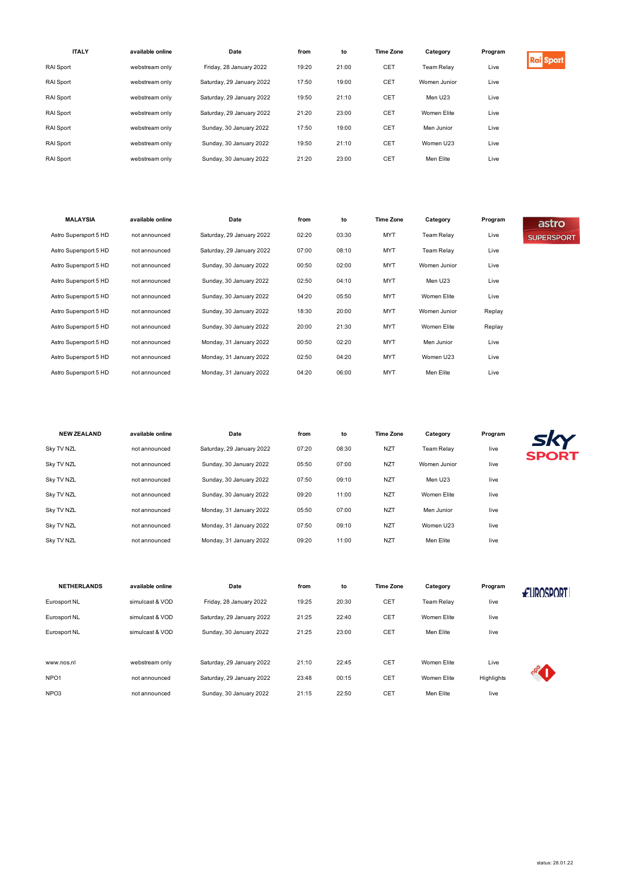| <b>ITALY</b>     | available online | Date                      | from  | to    | <b>Time Zone</b> | Category          | Program |                  |
|------------------|------------------|---------------------------|-------|-------|------------------|-------------------|---------|------------------|
| <b>RAI</b> Sport | webstream only   | Friday, 28 January 2022   | 19:20 | 21:00 | CET              | <b>Team Relav</b> | Live    | <b>Rai</b> Sport |
| <b>RAI</b> Sport | webstream only   | Saturday, 29 January 2022 | 17:50 | 19:00 | CET              | Women Junior      | Live    |                  |
| RAI Sport        | webstream only   | Saturday, 29 January 2022 | 19:50 | 21:10 | CET              | Men U23           | Live    |                  |
| <b>RAI</b> Sport | webstream only   | Saturday, 29 January 2022 | 21:20 | 23:00 | CET              | Women Elite       | Live    |                  |
| <b>RAI</b> Sport | webstream only   | Sunday, 30 January 2022   | 17:50 | 19:00 | CET              | Men Junior        | Live    |                  |
| RAI Sport        | webstream only   | Sunday, 30 January 2022   | 19:50 | 21:10 | CET              | Women U23         | Live    |                  |
| <b>RAI</b> Sport | webstream only   | Sunday, 30 January 2022   | 21:20 | 23:00 | CET              | Men Elite         | Live    |                  |

| <b>MALAYSIA</b>       | available online | Date                      | from  | to    | <b>Time Zone</b> | Category          | Program | astro             |
|-----------------------|------------------|---------------------------|-------|-------|------------------|-------------------|---------|-------------------|
| Astro Supersport 5 HD | not announced    | Saturday, 29 January 2022 | 02:20 | 03:30 | <b>MYT</b>       | <b>Team Relay</b> | Live    | <b>SUPERSPORT</b> |
| Astro Supersport 5 HD | not announced    | Saturday, 29 January 2022 | 07:00 | 08:10 | <b>MYT</b>       | <b>Team Relay</b> | Live    |                   |
| Astro Supersport 5 HD | not announced    | Sunday, 30 January 2022   | 00:50 | 02:00 | <b>MYT</b>       | Women Junior      | Live    |                   |
| Astro Supersport 5 HD | not announced    | Sunday, 30 January 2022   | 02:50 | 04:10 | <b>MYT</b>       | Men U23           | Live    |                   |
| Astro Supersport 5 HD | not announced    | Sunday, 30 January 2022   | 04:20 | 05:50 | <b>MYT</b>       | Women Elite       | Live    |                   |
| Astro Supersport 5 HD | not announced    | Sunday, 30 January 2022   | 18:30 | 20:00 | <b>MYT</b>       | Women Junior      | Replay  |                   |
| Astro Supersport 5 HD | not announced    | Sunday, 30 January 2022   | 20:00 | 21:30 | <b>MYT</b>       | Women Elite       | Replay  |                   |
| Astro Supersport 5 HD | not announced    | Monday, 31 January 2022   | 00:50 | 02:20 | <b>MYT</b>       | Men Junior        | Live    |                   |
| Astro Supersport 5 HD | not announced    | Monday, 31 January 2022   | 02:50 | 04:20 | <b>MYT</b>       | Women U23         | Live    |                   |
| Astro Supersport 5 HD | not announced    | Monday, 31 January 2022   | 04:20 | 06:00 | <b>MYT</b>       | Men Elite         | Live    |                   |

| <b>NEW ZEALAND</b> | available online | Date                      | from  | to    | <b>Time Zone</b> | Category          | Program | sky          |
|--------------------|------------------|---------------------------|-------|-------|------------------|-------------------|---------|--------------|
| Sky TV NZL         | not announced    | Saturday, 29 January 2022 | 07:20 | 08:30 | <b>NZT</b>       | <b>Team Relay</b> | live    | <b>SPORT</b> |
| Sky TV NZL         | not announced    | Sunday, 30 January 2022   | 05:50 | 07:00 | <b>NZT</b>       | Women Junior      | live    |              |
| Sky TV NZL         | not announced    | Sunday, 30 January 2022   | 07:50 | 09:10 | <b>NZT</b>       | Men U23           | live    |              |
| Sky TV NZL         | not announced    | Sunday, 30 January 2022   | 09:20 | 11:00 | <b>NZT</b>       | Women Elite       | live    |              |
| Sky TV NZL         | not announced    | Monday, 31 January 2022   | 05:50 | 07:00 | <b>NZT</b>       | Men Junior        | live    |              |
| Sky TV NZL         | not announced    | Monday, 31 January 2022   | 07:50 | 09:10 | <b>NZT</b>       | Women U23         | live    |              |
| Sky TV NZL         | not announced    | Monday, 31 January 2022   | 09:20 | 11:00 | <b>NZT</b>       | Men Elite         | live    |              |

| <b>NETHERLANDS</b> | available online | Date                      | from  | to    | <b>Time Zone</b> | Category          | Program    | <b>ELIROSPORT</b> |
|--------------------|------------------|---------------------------|-------|-------|------------------|-------------------|------------|-------------------|
| Eurosport NL       | simulcast & VOD  | Friday, 28 January 2022   | 19:25 | 20:30 | CET              | <b>Team Relav</b> | live       |                   |
| Eurosport NL       | simulcast & VOD  | Saturday, 29 January 2022 | 21:25 | 22:40 | CET              | Women Elite       | live       |                   |
| Eurosport NL       | simulcast & VOD  | Sunday, 30 January 2022   | 21:25 | 23:00 | CET              | Men Elite         | live       |                   |
|                    |                  |                           |       |       |                  |                   |            |                   |
| www.nos.nl         | webstream only   | Saturday, 29 January 2022 | 21:10 | 22:45 | <b>CET</b>       | Women Elite       | Live       |                   |
| NPO <sub>1</sub>   | not announced    | Saturday, 29 January 2022 | 23:48 | 00:15 | CET              | Women Elite       | Highlights |                   |
| NPO <sub>3</sub>   | not announced    | Sunday, 30 January 2022   | 21:15 | 22:50 | CET              | Men Elite         | live       |                   |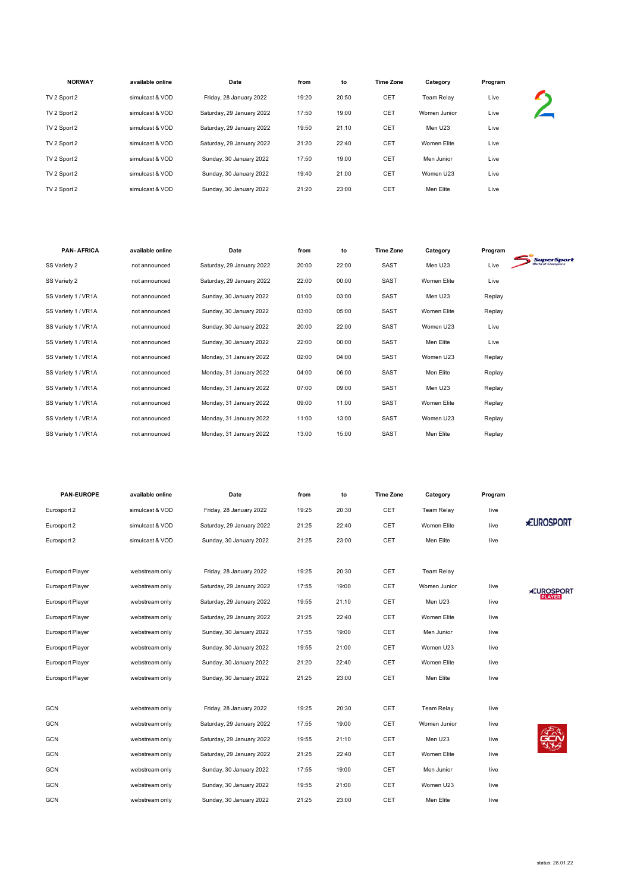| <b>NORWAY</b> | available online | Date                      | from  | to    | <b>Time Zone</b> | Category          | Program |  |
|---------------|------------------|---------------------------|-------|-------|------------------|-------------------|---------|--|
| TV 2 Sport 2  | simulcast & VOD  | Friday, 28 January 2022   | 19:20 | 20:50 | CET              | <b>Team Relav</b> | Live    |  |
| TV 2 Sport 2  | simulcast & VOD  | Saturday, 29 January 2022 | 17:50 | 19:00 | CET              | Women Junior      | Live    |  |
| TV 2 Sport 2  | simulcast & VOD  | Saturday, 29 January 2022 | 19:50 | 21:10 | CET              | Men U23           | Live    |  |
| TV 2 Sport 2  | simulcast & VOD  | Saturday, 29 January 2022 | 21:20 | 22:40 | CET              | Women Elite       | Live    |  |
| TV 2 Sport 2  | simulcast & VOD  | Sunday, 30 January 2022   | 17:50 | 19:00 | CET              | Men Junior        | Live    |  |
| TV 2 Sport 2  | simulcast & VOD  | Sunday, 30 January 2022   | 19:40 | 21:00 | CET              | Women U23         | Live    |  |
| TV 2 Sport 2  | simulcast & VOD  | Sunday, 30 January 2022   | 21:20 | 23:00 | CET              | Men Elite         | Live    |  |
|               |                  |                           |       |       |                  |                   |         |  |

| <b>PAN-AFRICA</b>   | available online | Date                      | from  | to    | <b>Time Zone</b> | Category    | Program |                   |
|---------------------|------------------|---------------------------|-------|-------|------------------|-------------|---------|-------------------|
| SS Variety 2        | not announced    | Saturday, 29 January 2022 | 20:00 | 22:00 | <b>SAST</b>      | Men U23     | Live    | <b>SuperSport</b> |
| SS Variety 2        | not announced    | Saturday, 29 January 2022 | 22:00 | 00:00 | <b>SAST</b>      | Women Elite | Live    |                   |
| SS Variety 1 / VR1A | not announced    | Sunday, 30 January 2022   | 01:00 | 03:00 | <b>SAST</b>      | Men U23     | Replay  |                   |
| SS Variety 1 / VR1A | not announced    | Sunday, 30 January 2022   | 03:00 | 05:00 | <b>SAST</b>      | Women Elite | Replay  |                   |
| SS Variety 1 / VR1A | not announced    | Sunday, 30 January 2022   | 20:00 | 22:00 | <b>SAST</b>      | Women U23   | Live    |                   |
| SS Variety 1 / VR1A | not announced    | Sunday, 30 January 2022   | 22:00 | 00:00 | SAST             | Men Elite   | Live    |                   |
| SS Variety 1 / VR1A | not announced    | Monday, 31 January 2022   | 02:00 | 04:00 | <b>SAST</b>      | Women U23   | Replay  |                   |
| SS Variety 1 / VR1A | not announced    | Monday, 31 January 2022   | 04:00 | 06:00 | <b>SAST</b>      | Men Elite   | Replay  |                   |
| SS Variety 1 / VR1A | not announced    | Monday, 31 January 2022   | 07:00 | 09:00 | <b>SAST</b>      | Men U23     | Replay  |                   |
| SS Variety 1 / VR1A | not announced    | Monday, 31 January 2022   | 09:00 | 11:00 | <b>SAST</b>      | Women Elite | Replay  |                   |
| SS Variety 1 / VR1A | not announced    | Monday, 31 January 2022   | 11:00 | 13:00 | <b>SAST</b>      | Women U23   | Replay  |                   |
| SS Variety 1 / VR1A | not announced    | Monday, 31 January 2022   | 13:00 | 15:00 | <b>SAST</b>      | Men Elite   | Replay  |                   |

| PAN-EUROPE              | available online | Date                      | from  | to    | <b>Time Zone</b> | Category          | Program |                   |
|-------------------------|------------------|---------------------------|-------|-------|------------------|-------------------|---------|-------------------|
| Eurosport 2             | simulcast & VOD  | Friday, 28 January 2022   | 19:25 | 20:30 | CET              | <b>Team Relay</b> | live    |                   |
| Eurosport 2             | simulcast & VOD  | Saturday, 29 January 2022 | 21:25 | 22:40 | CET              | Women Elite       | live    | <b>EUROSPORT</b>  |
| Eurosport 2             | simulcast & VOD  | Sunday, 30 January 2022   | 21:25 | 23:00 | CET              | Men Elite         | live    |                   |
|                         |                  |                           |       |       |                  |                   |         |                   |
| <b>Eurosport Player</b> | webstream only   | Friday, 28 January 2022   | 19:25 | 20:30 | CET              | <b>Team Relay</b> |         |                   |
| <b>Eurosport Player</b> | webstream only   | Saturday, 29 January 2022 | 17:55 | 19:00 | CET              | Women Junior      | live    | <b>*EUROSPORT</b> |
| <b>Eurosport Player</b> | webstream only   | Saturday, 29 January 2022 | 19:55 | 21:10 | CET              | Men U23           | live    | <b>PLAYER</b>     |
| Eurosport Player        | webstream only   | Saturday, 29 January 2022 | 21:25 | 22:40 | CET              | Women Elite       | live    |                   |
| <b>Eurosport Player</b> | webstream only   | Sunday, 30 January 2022   | 17:55 | 19:00 | CET              | Men Junior        | live    |                   |
| Eurosport Player        | webstream only   | Sunday, 30 January 2022   | 19:55 | 21:00 | CET              | Women U23         | live    |                   |
| <b>Eurosport Player</b> | webstream only   | Sunday, 30 January 2022   | 21:20 | 22:40 | CET              | Women Elite       | live    |                   |
| <b>Eurosport Player</b> | webstream only   | Sunday, 30 January 2022   | 21:25 | 23:00 | CET              | Men Elite         | live    |                   |
|                         |                  |                           |       |       |                  |                   |         |                   |
| <b>GCN</b>              | webstream only   | Friday, 28 January 2022   | 19:25 | 20:30 | CET              | <b>Team Relay</b> | live    |                   |
| <b>GCN</b>              | webstream only   | Saturday, 29 January 2022 | 17:55 | 19:00 | CET              | Women Junior      | live    |                   |
| GCN                     | webstream only   | Saturday, 29 January 2022 | 19:55 | 21:10 | CET              | Men U23           | live    |                   |
| GCN                     | webstream only   | Saturday, 29 January 2022 | 21:25 | 22:40 | CET              | Women Elite       | live    |                   |
| <b>GCN</b>              | webstream only   | Sunday, 30 January 2022   | 17:55 | 19:00 | CET              | Men Junior        | live    |                   |
| <b>GCN</b>              | webstream only   | Sunday, 30 January 2022   | 19:55 | 21:00 | CET              | Women U23         | live    |                   |
| <b>GCN</b>              | webstream only   | Sunday, 30 January 2022   | 21:25 | 23:00 | CET              | Men Elite         | live    |                   |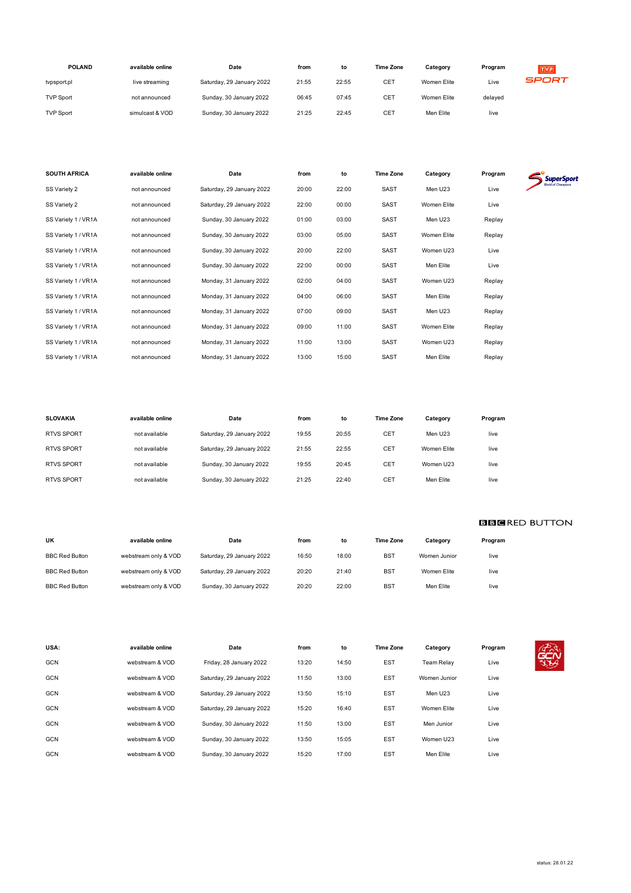| <b>POLAND</b>    | available online | Date                      | from  | to    | <b>Time Zone</b> | Category    | Program | TVP   |
|------------------|------------------|---------------------------|-------|-------|------------------|-------------|---------|-------|
| typsport.pl      | live streaming   | Saturday, 29 January 2022 | 21:55 | 22:55 | CE1              | Women Elite | Live    | SPORT |
| <b>TVP Sport</b> | not announced    | Sunday, 30 January 2022   | 06:45 | 07:45 | CET              | Women Elite | delaved |       |
| <b>TVP Sport</b> | simulcast & VOD  | Sunday, 30 January 2022   | 21:25 | 22:45 | CE1              | Men Elite   | live    |       |

| <b>SOUTH AFRICA</b> | available online | Date                      | from  | to    | <b>Time Zone</b> | Category    | Program | <b>SuperSport</b> |
|---------------------|------------------|---------------------------|-------|-------|------------------|-------------|---------|-------------------|
| SS Variety 2        | not announced    | Saturday, 29 January 2022 | 20:00 | 22:00 | SAST             | Men U23     | Live    |                   |
| SS Variety 2        | not announced    | Saturday, 29 January 2022 | 22:00 | 00:00 | SAST             | Women Elite | Live    |                   |
| SS Variety 1 / VR1A | not announced    | Sunday, 30 January 2022   | 01:00 | 03:00 | SAST             | Men U23     | Replay  |                   |
| SS Variety 1 / VR1A | not announced    | Sunday, 30 January 2022   | 03:00 | 05:00 | SAST             | Women Elite | Replay  |                   |
| SS Variety 1 / VR1A | not announced    | Sunday, 30 January 2022   | 20:00 | 22:00 | SAST             | Women U23   | Live    |                   |
| SS Variety 1 / VR1A | not announced    | Sunday, 30 January 2022   | 22:00 | 00:00 | SAST             | Men Elite   | Live    |                   |
| SS Variety 1 / VR1A | not announced    | Monday, 31 January 2022   | 02:00 | 04:00 | SAST             | Women U23   | Replay  |                   |
| SS Variety 1 / VR1A | not announced    | Monday, 31 January 2022   | 04:00 | 06:00 | SAST             | Men Elite   | Replay  |                   |
| SS Variety 1 / VR1A | not announced    | Monday, 31 January 2022   | 07:00 | 09:00 | SAST             | Men U23     | Replay  |                   |
| SS Variety 1 / VR1A | not announced    | Monday, 31 January 2022   | 09:00 | 11:00 | SAST             | Women Elite | Replay  |                   |
| SS Variety 1 / VR1A | not announced    | Monday, 31 January 2022   | 11:00 | 13:00 | SAST             | Women U23   | Replay  |                   |
| SS Variety 1 / VR1A | not announced    | Monday, 31 January 2022   | 13:00 | 15:00 | SAST             | Men Elite   | Replay  |                   |

| available online | Date                      | from  | to    | <b>Time Zone</b> | Category            | Program |
|------------------|---------------------------|-------|-------|------------------|---------------------|---------|
| not available    | Saturday, 29 January 2022 | 19:55 | 20:55 | CET              | Men U <sub>23</sub> | live    |
| not available    | Saturday, 29 January 2022 | 21:55 | 22:55 | CET              | Women Elite         | live    |
| not available    | Sunday, 30 January 2022   | 19:55 | 20:45 | CET              | Women U23           | live    |
| not available    | Sunday, 30 January 2022   | 21:25 | 22:40 | CET              | Men Elite           | live    |
|                  |                           |       |       |                  |                     |         |

| UK                    | available online     | Date                      | from  | to    | <b>Time Zone</b> | Category     | Program |
|-----------------------|----------------------|---------------------------|-------|-------|------------------|--------------|---------|
| <b>BBC Red Button</b> | webstream only & VOD | Saturday, 29 January 2022 | 16:50 | 18:00 | <b>BST</b>       | Women Junior | live    |
| <b>BBC Red Button</b> | webstream only & VOD | Saturday, 29 January 2022 | 20:20 | 21:40 | <b>BST</b>       | Women Elite  | live    |
| <b>BBC Red Button</b> | webstream only & VOD | Sunday, 30 January 2022   | 20:20 | 22:00 | <b>BST</b>       | Men Elite    | live    |

| USA:       | available online | Date                      | from  | to    | <b>Time Zone</b> | Category          | Program | $\sqrt{2}a$                |
|------------|------------------|---------------------------|-------|-------|------------------|-------------------|---------|----------------------------|
| <b>GCN</b> | webstream & VOD  | Friday, 28 January 2022   | 13:20 | 14:50 | <b>EST</b>       | <b>Team Relav</b> | Live    | <b>GCN</b><br>$\mathbb{Z}$ |
| <b>GCN</b> | webstream & VOD  | Saturday, 29 January 2022 | 11:50 | 13:00 | <b>EST</b>       | Women Junior      | Live    |                            |
| <b>GCN</b> | webstream & VOD  | Saturday, 29 January 2022 | 13:50 | 15:10 | <b>EST</b>       | Men U23           | Live    |                            |
| <b>GCN</b> | webstream & VOD  | Saturday, 29 January 2022 | 15:20 | 16:40 | <b>EST</b>       | Women Elite       | Live    |                            |
| <b>GCN</b> | webstream & VOD  | Sunday, 30 January 2022   | 11:50 | 13:00 | <b>EST</b>       | Men Junior        | Live    |                            |
| <b>GCN</b> | webstream & VOD  | Sunday, 30 January 2022   | 13:50 | 15:05 | <b>EST</b>       | Women U23         | Live    |                            |
| <b>GCN</b> | webstream & VOD  | Sunday, 30 January 2022   | 15:20 | 17:00 | <b>EST</b>       | Men Elite         | Live    |                            |

**BBCRED BUTTON**